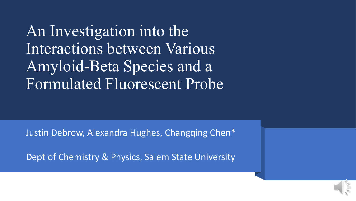An Investigation into the Interactions between Various Amyloid-Beta Species and a Formulated Fluorescent Probe

Justin Debrow, Alexandra Hughes, Changqing Chen\*

Dept of Chemistry & Physics, Salem State University

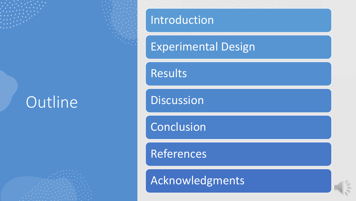# Outline

### Introduction

### Experimental Design

**Results** 

**Discussion** 

Conclusion

**References** 

Acknowledgments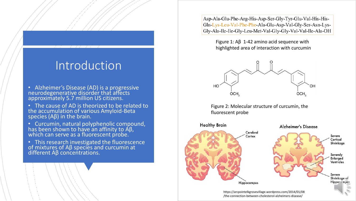## Introduction

- Alzheimer's Disease (AD) is a progressive neurodegenerative disorder that affects approximately 5.7 million US citizens.
- The cause of AD is theorized to be related to the accumulation of various Amyloid-Beta species (Aβ) in the brain.
- Curcumin, natural polyphenolic compound, has been shown to have an affinity to Aβ, which can serve as a fluorescent probe.
- This research investigated the fluorescence<br>of mixtures of Aβ species and curcumin at different Aβ concentrations.

Asp-Ala-Glu-Phe-Arg-His-Asp-Ser-Gly-Tyr-Glu-Val-His-His-Gln-Lys-Leu-Val-Phe-Phe-Ala-Glu-Asp-Val-Gly-Ser-Asn-Lys-Gly-Ala-Ile-Ile-Gly-Leu-Met-Val-Gly-Gly-Val-Val-Ile-Ala-OH

Figure 1: Aβ 1-42 amino acid sequence with highlighted area of interaction with curcumin



Figure 2: Molecular structure of curcumin, the fluorescent probe

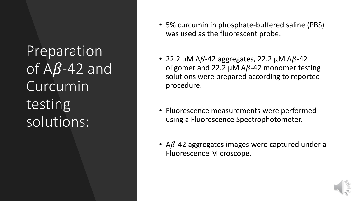Preparation of  $\mathsf{A}\mathsf{B}\text{-}\mathsf{4}2$  and Curcumin testing solutions:

- 5% curcumin in phosphate-buffered saline (PBS) was used as the fluorescent probe.
- 22.2  $\mu$ M A $\beta$ -42 aggregates, 22.2  $\mu$ M A $\beta$ -42 oligomer and 22.2  $\mu$ M A $\beta$ -42 monomer testing solutions were prepared according to reported procedure.
- Fluorescence measurements were performed using a Fluorescence Spectrophotometer.
- A $\beta$ -42 aggregates images were captured under a Fluorescence Microscope.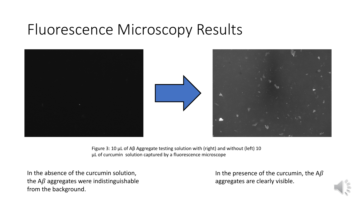# Fluorescence Microscopy Results





Figure 3: 10 µL of Aβ Aggregate testing solution with (right) and without (left) 10 µL of curcumin solution captured by a fluorescence microscope

In the absence of the curcumin solution, the  $A\beta$  aggregates were indistinguishable from the background.

In the presence of the curcumin, the  $A\beta$ aggregates are clearly visible.

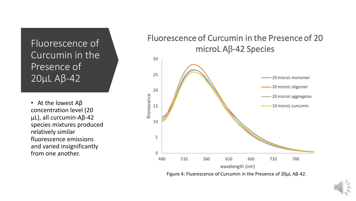Fluorescence of Curcumin in the Presence of 20µL Aβ-42

• At the lowest  $AB$ concentration level (20 µL), all curcumin-Aβ-42 species mixtures produced relatively similar fluorescence emissions and varied insignificantly from one another.

#### Fluorescence of Curcumin in the Presence of 20 microL  $\mathsf{AB}\text{-}\mathsf{42}$  Species



Figure 4: Fluorescence of Curcumin in the Presence of 20µL Aβ-42.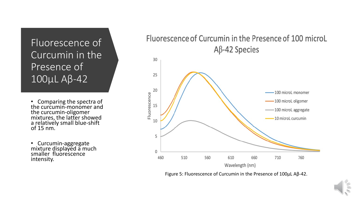### Fluorescence of Curcumin in the Presence of 100µL Aβ-42

• Comparing the spectra of the curcumin-monomer and the curcumin-oligomer<br>mixtures, the latter showed a relatively small blue-shift of 15 nm.

• Curcumin-aggregate<br>mixture displayed a much smaller fluorescence intensity.





Figure 5: Fluorescence of Curcumin in the Presence of 100µL Aβ-42.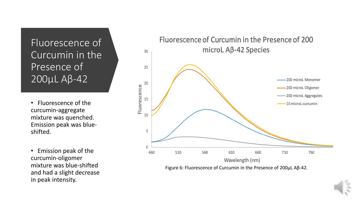#### Fluorescence of Curcumin in the Presence of 200µL Aβ-42

• Fluorescence of the curcumin-aggregate mixture was quenched. Emission peak was blueshifted.

• Emission peak of the curcumin-oligomer mixture was blue-shifted and had a slight decrease in peak intensity.



Figure 6: Fluorescence of Curcumin in the Presence of 200µL Aβ-42.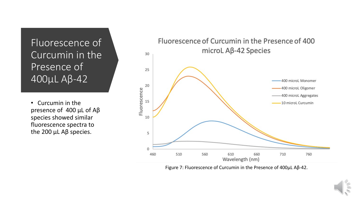#### Fluorescence of Curcumin in the Presence of 400µL Aβ-42

• Curcumin in the presence of 400 µL of Aβ species showed similar fluorescence spectra to the 200 µL Aβ species.



Figure 7: Fluorescence of Curcumin in the Presence of 400µL Aβ-42.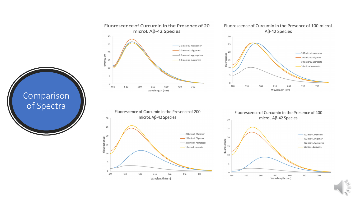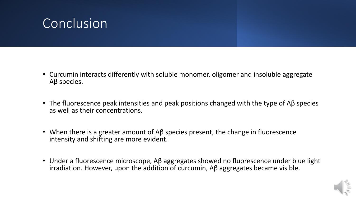# **Conclusion**

- Curcumin interacts differently with soluble monomer, oligomer and insoluble aggregate Aβ species.
- The fluorescence peak intensities and peak positions changed with the type of Aβ species as well as their concentrations.
- When there is a greater amount of  $\Delta\beta$  species present, the change in fluorescence intensity and shifting are more evident.
- Under a fluorescence microscope, Aβ aggregates showed no fluorescence under blue light irradiation. However, upon the addition of curcumin, Aβ aggregates became visible.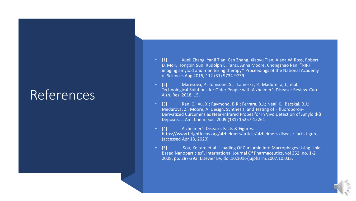## References

- [1] Xueli Zhang, Yanli Tian, Can Zhang, Xiaoyu Tian, Alana W. Ross, Robert D. Moir, Hongbin Sun, Rudolph E. Tanzi, Anna Moore, Chongzhao Ran. "NIRF imaging amyloid and monitoring therapy." Proceedings of the National Academy of Sciences Aug 2015, 112 (31) 9734-9739
- [2] Maresova, P.; Tomsone, S.; Lameski, P.; Madureira, J.; etal. Technological Solutions for Older People with Alzheimer's Disease: Review. Curr. Alzh. Res. 2018, 15.
- [3] Ran, C.; Xu, X.; Raymond, B.R.; Ferrara, B.J.; Neal, K.; Bacskai, B.J.; Medarova, Z.; Moore, A. Design, Synthesis, and Testing of Fifluoroboron-Derivatized Curcumins as Near-Infrared Probes for In Vivo Detection of Amyloid-β Deposits. J. Am. Chem. Soc. 2009 (131) 15257-15261
- [4] Alzheimer's Disease: Facts & Figures. https://www.brightfocus.org/alzheimers/article/alzheimers-disease-facts-figures (accessed Apr 18, 2020).
- [5] Sou, Keitaro et al. "Loading Of Curcumin Into Macrophages Using Lipid-Based Nanoparticles". International Journal Of Pharmaceutics, vol 352, no. 1-2, 2008, pp. 287-293. Elsevier BV, doi:10.1016/j.ijpharm.2007.10.033.